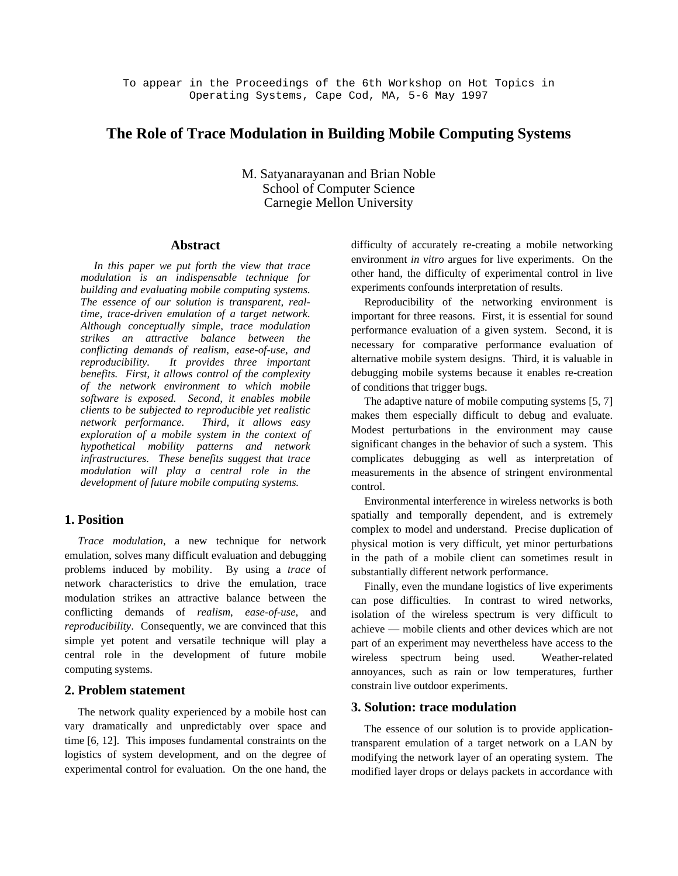# **The Role of Trace Modulation in Building Mobile Computing Systems**

M. Satyanarayanan and Brian Noble School of Computer Science Carnegie Mellon University

*building and evaluating mobile computing systems. of the network environment to which mobile* of conditions that trigger bugs.<br> *software is exposed.* Second, it enables mobile The adaptive pature of mobil *development of future mobile computing systems.* control.

problems induced by mobility. By using a *trace* of substantially different network performance.<br>
network characteristics to drive the emulation, trace Finally even the mundane logistics of live network characteristics to drive the emulation, trace Finally, even the mundane logistics of live experiments modulation strikes an attractive balance between the can pose difficulties. In contrast to wired networks modulation strikes an attractive balance between the can pose difficulties. In contrast to wired networks, conflicting demands of *realism*, *ease-of-use*, and isolation of the wireless spectrum is very difficult to *reproducibility*. Consequently, we are convinced that this achieve — mobile clients and other devices which are not simple yet potent and versatile technique will play a part of an experiment may nevertheless have access central role in the development of future mobile vireless spectrum being used. Weather-related<br>computing systems.<br>further

The network quality experienced by a mobile host can **3. Solution: trace modulation** vary dramatically and unpredictably over space and The essence of our solution is to provide applicationtime [6, 12]. This imposes fundamental constraints on the transparent emulation of a target network on a LAN by logistics of system development, and on the degree of modifying the network layer of an operating system. The experimental control for evaluation. On the one hand, the modified layer drops or delays packets in accordance w

**Abstract** difficulty of accurately re-creating a mobile networking In this paper we put forth the view that trace<br>modulation is an indispensable technique for<br>huilding and evaluating mobile computing systems<br>building and evaluating mobile computing systems<br>experiments confounds interpreta

*The essence of our solution is transparent, real-*<br>*The essence of our solution of a target network*. *important for three reasons.* First it is essential for sound time, trace-driven emulation of a target network.<br>
Although conceptually simple, trace modulation<br>
strikes an attractive balance between the<br>
conflicting demands of realism, ease-of-use, and<br>
reproducibility. It provides t *benefits. First, it allows control of the complexity* debugging mobile systems because it enables re-creation

software is exposed. Second, it enables mobile<br>clients to be subjected to reproducible yet realistic<br>network performance. Third, it allows easy<br>exploration of a mobile system in the context of Modest perturbations in the e *hypothetical mobility patterns and network* significant changes in the behavior of such a system. This *infrastructures*. *These benefits suggest that trace* complicates debugging as well as interpretation of *infrastructures. These benefits suggest that trace* complicates debugging as well as interpretation of *modulation will play a central role in the* measurements in the absence of stringent environmental *measurements* in the absence of stringent environmental

Environmental interference in wireless networks is both spatially and temporally dependent, and is extremely **1. Position** complex to model and understand. Precise duplication of *Trace modulation*, a new technique for network physical motion is very difficult, yet minor perturbations emulation, solves many difficult evaluation and debugging in the path of a mobile client can sometimes result in in the path of a mobile client can sometimes result in

isolation of the wireless spectrum is very difficult to part of an experiment may nevertheless have access to the annoyances, such as rain or low temperatures, further constrain live outdoor experiments. **2. Problem statement**

modified layer drops or delays packets in accordance with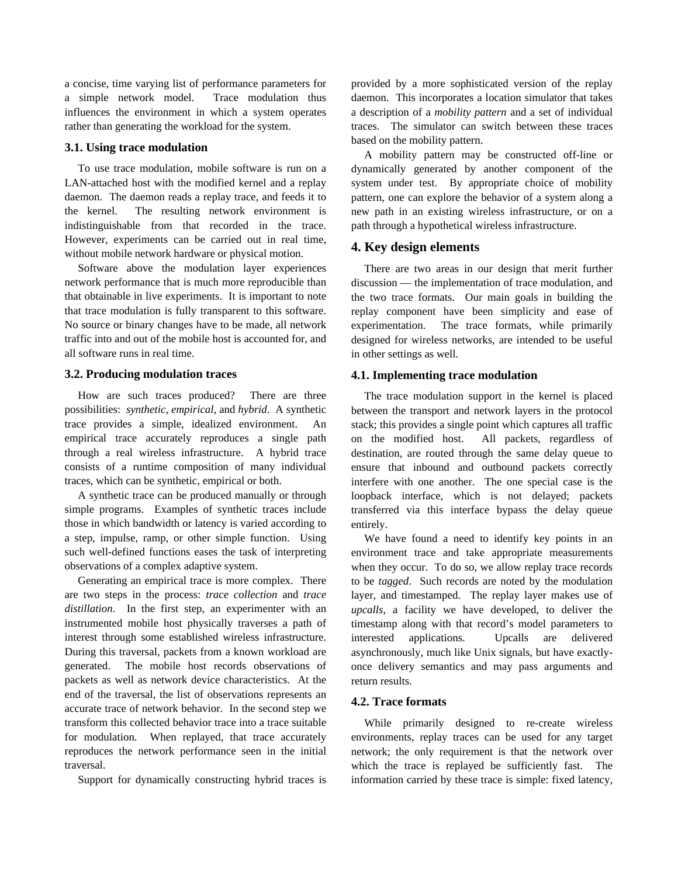a simple network model. Trace modulation thus daemon. This incorporates a location simulator that takes influences the environment in which a system operates a description of a *mobility pattern* and a set of individual rather than generating the workload for the system. traces. The simulator can switch between these traces

LAN-attached host with the modified kernel and a replay system under test. By appropriate choice of mobility daemon. The daemon reads a replay trace, and feeds it to pattern, one can explore the behavior of a system along a the kernel. The resulting network environment is new path in an existing wireless infrastructure, or on a indistinguishable from that recorded in the trace. path through a hypothetical wireless infrastructure. However, experiments can be carried out in real time, **4. Key design elements** without mobile network hardware or physical motion.

network performance that is much more reproducible than discussion — the implementation of trace modulation, and that obtainable in live experiments. It is important to note the two trace formats. Our main goals in building the that trace modulation is fully transparent to this software. replay component have been simplicity and ease of No source or binary changes have to be made, all network experimentation. The trace formats, while primarily traffic into and out of the mobile host is accounted for, and designed for wireless networks, are intended to be useful all software runs in real time. in other settings as well.

possibilities: *synthetic*, *empirical*, and *hybrid*. A synthetic between the transport and network layers in the protocol trace provides a simple, idealized environment. An stack; this provides a single point which captures all traffic empirical trace accurately reproduces a single path on the modified host. All packets, regardless of through a real wireless infrastructure. A hybrid trace destination, are routed through the same delay queue to consists of a runtime composition of many individual ensure that inbound and outbound packets correctly traces, which can be synthetic, empirical or both. interfere with one another. The one special case is the

simple programs. Examples of synthetic traces include transferred via this interface bypass the delay queue those in which bandwidth or latency is varied according to entirely. a step, impulse, ramp, or other simple function. Using We have found a need to identify key points in an such well-defined functions eases the task of interpreting environment trace and take appropriate measurements observations of a complex adaptive system. when they occur. To do so, we allow replay trace records

are two steps in the process: *trace collection* and *trace* layer, and timestamped. The replay layer makes use of *distillation*. In the first step, an experimenter with an *upcalls*, a facility we have developed, to deliver the instrumented mobile host physically traverses a path of timestamp along with that record's model parameters to interest through some established wireless infrastructure. interested applications. Upcalls are delivered During this traversal, packets from a known workload are asynchronously, much like Unix signals, but have exactlygenerated. The mobile host records observations of once delivery semantics and may pass arguments and packets as well as network device characteristics. At the return results. end of the traversal, the list of observations represents an **4.2. Trace formats** accurate trace of network behavior. In the second step we transform this collected behavior trace into a trace suitable While primarily designed to re-create wireless for modulation. When replayed, that trace accurately environments, replay traces can be used for any target reproduces the network performance seen in the initial network; the only requirement is that the network over traversal. which the trace is replayed be sufficiently fast. The

a concise, time varying list of performance parameters for provided by a more sophisticated version of the replay **3.1. Using trace modulation** based on the mobility pattern.<br>A mobility pattern may be constructed off-line or

To use trace modulation, mobile software is run on a dynamically generated by another component of the

Software above the modulation layer experiences There are two areas in our design that merit further

# **3.2. Producing modulation traces 4.1. Implementing trace modulation**

How are such traces produced? There are three The trace modulation support in the kernel is placed A synthetic trace can be produced manually or through loopback interface, which is not delayed; packets

Generating an empirical trace is more complex. There to be *tagged*. Such records are noted by the modulation

Support for dynamically constructing hybrid traces is information carried by these trace is simple: fixed latency,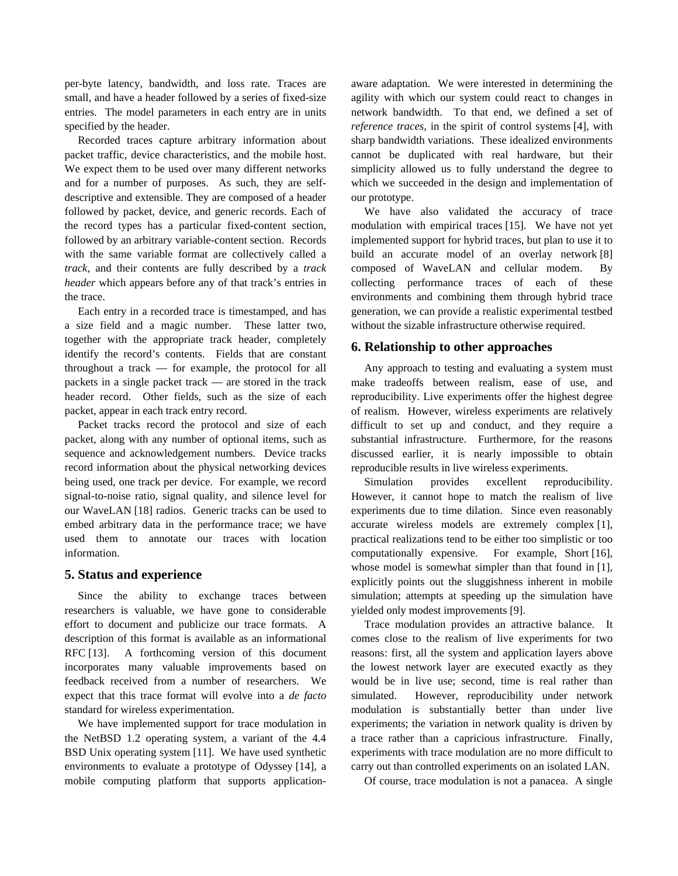small, and have a header followed by a series of fixed-size agility with which our system could react to changes in entries. The model parameters in each entry are in units network bandwidth. To that end, we defined a set of specified by the header. *reference traces*, in the spirit of control systems [4], with

packet traffic, device characteristics, and the mobile host. cannot be duplicated with real hardware, but their We expect them to be used over many different networks simplicity allowed us to fully understand the degree to and for a number of purposes. As such, they are self- which we succeeded in the design and implementation of descriptive and extensible. They are composed of a header our prototype. followed by packet, device, and generic records. Each of We have also validated the accuracy of trace the record types has a particular fixed-content section, modulation with empirical traces [15]. We have not yet followed by an arbitrary variable-content section. Records implemented support for hybrid traces, but plan to use it to with the same variable format are collectively called a build an accurate model of an overlay network [8] *track*, and their contents are fully described by a *track* composed of WaveLAN and cellular modem. By *header* which appears before any of that track's entries in collecting performance traces of each of these the trace. environments and combining them through hybrid trace

a size field and a magic number. These latter two, without the sizable infrastructure otherwise required. together with the appropriate track header, completely **6. Relationship to other approaches** identify the record's contents. Fields that are constant throughout a track — for example, the protocol for all Any approach to testing and evaluating a system must packets in a single packet track — are stored in the track make tradeoffs between realism, ease of use, and header record. Other fields, such as the size of each reproducibility. Live experiments offer the highest degree packet, appear in each track entry record.  $\qquad \qquad$  of realism. However, wireless experiments are relatively

packet, along with any number of optional items, such as substantial infrastructure. Furthermore, for the reasons sequence and acknowledgement numbers. Device tracks discussed earlier, it is nearly impossible to obtain record information about the physical networking devices reproducible results in live wireless experiments. being used, one track per device. For example, we record Simulation provides excellent reproducibility. signal-to-noise ratio, signal quality, and silence level for However, it cannot hope to match the realism of live our WaveLAN [18] radios. Generic tracks can be used to experiments due to time dilation. Since even reasonably embed arbitrary data in the performance trace; we have accurate wireless models are extremely complex [1], used them to annotate our traces with location practical realizations tend to be either too simplistic or too information. computationally expensive. For example, Short [16],

researchers is valuable, we have gone to considerable yielded only modest improvements [9]. effort to document and publicize our trace formats. A Trace modulation provides an attractive balance. It description of this format is available as an informational comes close to the realism of live experiments for two RFC [13]. A forthcoming version of this document reasons: first, all the system and application layers above incorporates many valuable improvements based on the lowest network layer are executed exactly as they feedback received from a number of researchers. We would be in live use; second, time is real rather than expect that this trace format will evolve into a *de facto* simulated. However, reproducibility under network standard for wireless experimentation. modulation is substantially better than under live

the NetBSD 1.2 operating system, a variant of the 4.4 a trace rather than a capricious infrastructure. Finally, BSD Unix operating system [11]. We have used synthetic experiments with trace modulation are no more difficult to environments to evaluate a prototype of Odyssey [14], a carry out than controlled experiments on an isolated LAN. mobile computing platform that supports application- Of course, trace modulation is not a panacea. A single

per-byte latency, bandwidth, and loss rate. Traces are aware adaptation. We were interested in determining the Recorded traces capture arbitrary information about sharp bandwidth variations. These idealized environments

Each entry in a recorded trace is timestamped, and has generation, we can provide a realistic experimental testbed

Packet tracks record the protocol and size of each difficult to set up and conduct, and they require a

**5. Status and experience** whose model is somewhat simpler than that found in [1], explicitly points out the sluggishness inherent in mobile Since the ability to exchange traces between simulation; attempts at speeding up the simulation have

We have implemented support for trace modulation in experiments; the variation in network quality is driven by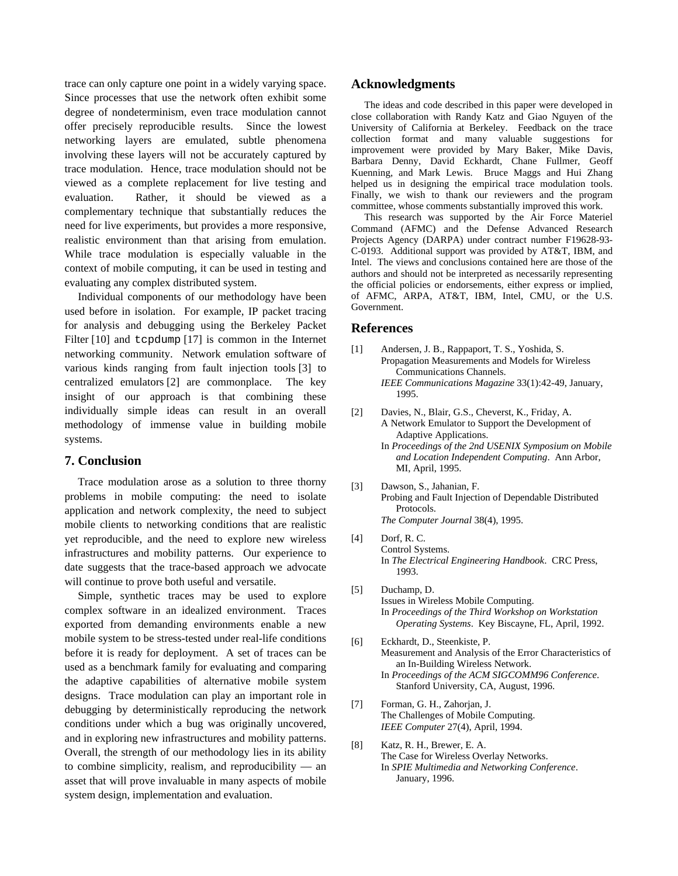trace can only capture one point in a widely varying space. **Acknowledgments**<br>Since processes that use the network often exhibit some degree of nondeterminism, even trace modulation cannot and the solution of the dease and code described in this paper were developed in degree of nondeterminism, even trace modulation cannot offer precisely reproducible re networking layers are emulated, subtle phenomena collection format and many valuable suggestions for<br>involving these layers will not be accurately contured by memovement were provided by Mary Baker, Mike Davis, involving these layers will not be accurately captured by<br>trace modulation. Hence, trace modulation should not be<br>Kuenning, and Mark Lewis. Bruce Maggs and Hui Zhang viewed as a complete replacement for live testing and helped us in designing the empirical trace modulation tools. evaluation. Rather, it should be viewed as a Finally, we wish to thank our reviewers and the program<br>committee, whose comments substantially improved this work. complementary technique that substantially reduces the<br>need for live experiments, but provides a more responsive,<br>Command (AFMC) and the Defense Advanced Research realistic environment than that arising from emulation. Projects Agency (DARPA) under contract number F19628-93-<br>While trace modulation is especially valuable in the C-0193. Additional support was provided by AT&T, IBM, an While trace modulation is especially valuable in the C-0193. Additional support was provided by AT&T, IBM, and<br>Intel. The views and conclusions contained here are those of the

used before in isolation. For example, IP packet tracing for analysis and debugging using the Berkeley Packet **References** Filter [10] and tcpdump [17] is common in the Internet networking community. Network emulation software of [1] Andersen, J. B., Rappaport, T. S., Yoshida, S.<br>various kinds ranging from fault injection tools [3] to Communications Channels. centralized emulators [2] are commonplace. The key *IEEE Communications Magazine* 33(1):42-49, January, insight of our approach is that combining these 1995. individually simple ideas can result in an overall [2] Davies, N., Blair, G.S., Cheverst, K., Friday, A. methodology of immense value in building mobile A Network Emulator to Support the Development of automa Adaptive Applications. Adaptive Applications. systems. In *Proceedings of the 2nd USENIX Symposium on Mobile*

Trace modulation arose as a solution to three thorny [3] Dawson, S., Jahanian, F. problems in mobile computing: the need to isolate Probing and Fault Injection of Dependable Distributed application and network complexity, the need to subject Protocols.<br>The Computer Journal 38(4), 1995. mobile clients to networking conditions that are realistic yet reproducible, and the need to explore new wireless [4] Dorf, R. C.<br>infractructures and mobility netterns. Our averagines to Control Systems. Infrastructures and mobility patterns. Our experience to In *The Electrical Engineering Handbook*. CRC Press, In *The Electrical Engineering Handbook*. CRC Press, UNI continue to prove both useful and versatile.

exported from demanding environments enable a new mobile system to be stress-tested under real-life conditions [6] Eckhardt, D., Steenkiste, P. before it is ready for deployment. A set of traces can be Measurement and Analysis of the Error Characteristics of used as a henchmark family for evaluating and comparing and  $\frac{1}{2}$  and In-Building Wireless Network. used as a benchmark family for evaluating and comparing<br>the adaptive capabilities of alternative mobile system<br>designs. Trace modulation can play an important role in<br>debugging by deterministically reproducing the network<br> and in exploring new infrastructures and mobility patterns.<br>
Overall, the strength of our methodology lies in its ability The Case for Wireless Overlay Networks. to combine simplicity, realism, and reproducibility — an In *SPIE Multimedia and Networking Conference*. asset that will prove invaluable in many aspects of mobile <sup>January, 1996.</sup> system design, implementation and evaluation.

University of California at Berkeley. Feedback on the trace collection format and many valuable suggestions for

context of mobile computing, it can be used in testing and<br>evaluating any complex distributed system.<br>evaluating any complex distributed system.<br>the official policies or endorsements, either express or implied, Individual components of our methodology have been of AFMC, ARPA, AT&T, IBM, Intel, CMU, or the U.S.

- 
- 
- **7. Conclusion** and *Location Independent Computing*. Ann Arbor, MI, April, 1995.
	-
	-
- Simple, synthetic traces may be used to explore [5] Duchamp, D.<br>
Simple, synthetic traces may be used to explore [5] Duchamp, D.<br>
Issues in Wireless Mobile Computing.<br>
In Proceedings of the Third Workshop on Workstation<br>
e
	-
	-
	-